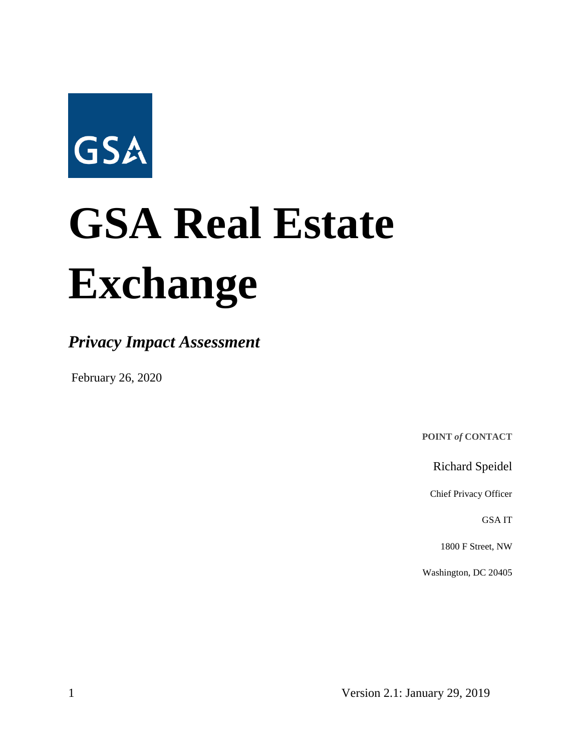

# **GSA Real Estate Exchange**

*Privacy Impact Assessment*

February 26, 2020

**POINT** *of* **CONTACT**

Richard Speidel

Chief Privacy Officer

GSA IT

1800 F Street, NW

Washington, DC 20405

1 Version 2.1: January 29, 2019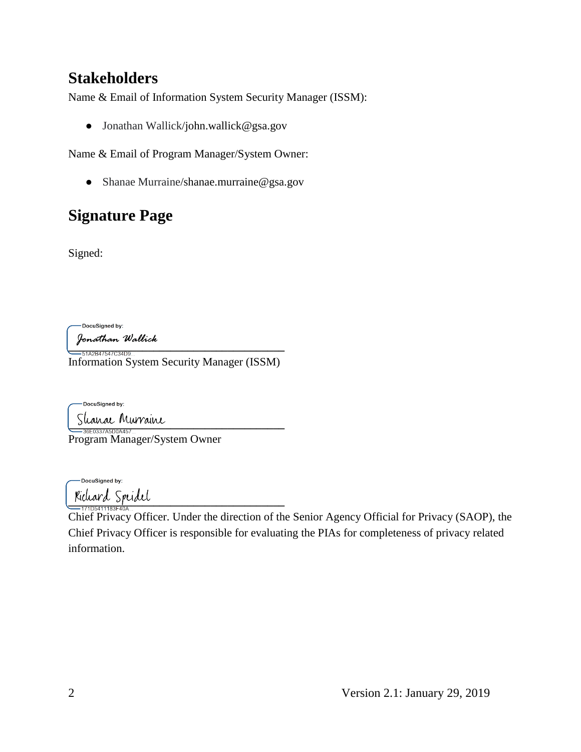## **Stakeholders**

Name & Email of Information System Security Manager (ISSM):

● Jonathan Wallick/john.wallick@gsa.gov

Name & Email of Program Manager/System Owner:

● Shanae Murraine/shanae.murraine@gsa.gov

# **Signature Page**

Signed:

-DocuSigned by:

Jon*athan Wallick*<br>—51A2B47547C34D9…

Information System Security Manager (ISSM)

DocuSigned by: Shanac Murraine

Program Manager/System Owner

-DocuSianed by: **\_\_\_\_\_\_\_\_\_\_\_\_\_\_\_\_\_\_\_\_\_\_\_\_\_\_\_\_\_\_\_\_\_\_\_\_\_\_**

Chief Privacy Officer. Under the direction of the Senior Agency Official for Privacy (SAOP), the Chief Privacy Officer is responsible for evaluating the PIAs for completeness of privacy related information.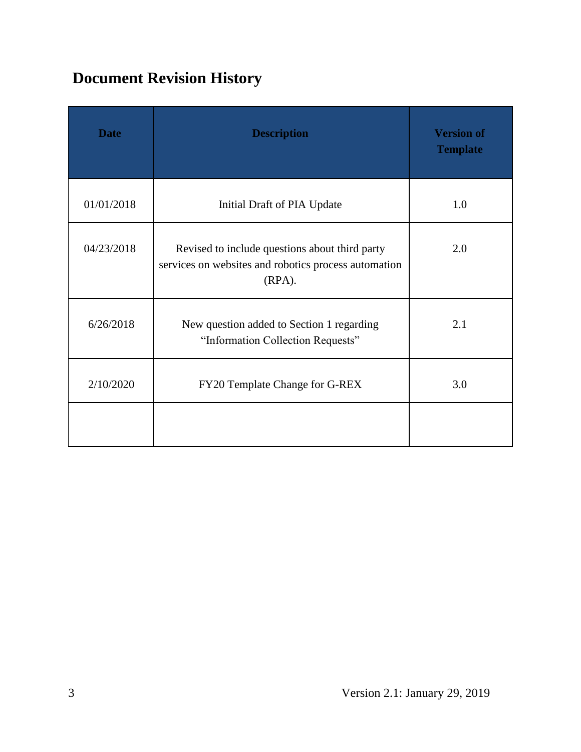# **Document Revision History**

| <b>Date</b> | <b>Description</b>                                                                                                  | <b>Version of</b><br><b>Template</b> |
|-------------|---------------------------------------------------------------------------------------------------------------------|--------------------------------------|
| 01/01/2018  | Initial Draft of PIA Update                                                                                         | 1.0                                  |
| 04/23/2018  | Revised to include questions about third party<br>services on websites and robotics process automation<br>$(RPA)$ . | 2.0                                  |
| 6/26/2018   | New question added to Section 1 regarding<br>"Information Collection Requests"                                      | 2.1                                  |
| 2/10/2020   | FY20 Template Change for G-REX                                                                                      | 3.0                                  |
|             |                                                                                                                     |                                      |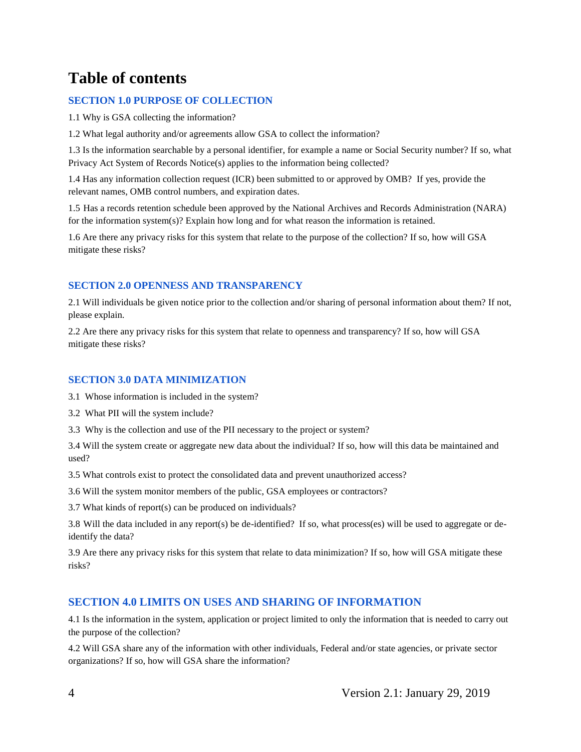## **Table of contents**

#### **SECTION 1.0 PURPOSE OF COLLECTION**

1.1 Why is GSA collecting the information?

1.2 What legal authority and/or agreements allow GSA to collect the information?

1.3 Is the information searchable by a personal identifier, for example a name or Social Security number? If so, what Privacy Act System of Records Notice(s) applies to the information being collected?

1.4 Has any information collection request (ICR) been submitted to or approved by OMB? If yes, provide the relevant names, OMB control numbers, and expiration dates.

1.5 Has a records retention schedule been approved by the National Archives and Records Administration (NARA) for the information system(s)? Explain how long and for what reason the information is retained.

1.6 Are there any privacy risks for this system that relate to the purpose of the collection? If so, how will GSA mitigate these risks?

#### **SECTION 2.0 OPENNESS AND TRANSPARENCY**

2.1 Will individuals be given notice prior to the collection and/or sharing of personal information about them? If not, please explain.

2.2 Are there any privacy risks for this system that relate to openness and transparency? If so, how will GSA mitigate these risks?

#### **SECTION 3.0 DATA MINIMIZATION**

3.1 Whose information is included in the system?

3.2 What PII will the system include?

3.3 Why is the collection and use of the PII necessary to the project or system?

3.4 Will the system create or aggregate new data about the individual? If so, how will this data be maintained and used?

3.5 What controls exist to protect the consolidated data and prevent unauthorized access?

3.6 Will the system monitor members of the public, GSA employees or contractors?

3.7 What kinds of report(s) can be produced on individuals?

3.8 Will the data included in any report(s) be de-identified? If so, what process(es) will be used to aggregate or deidentify the data?

3.9 Are there any privacy risks for this system that relate to data minimization? If so, how will GSA mitigate these risks?

#### **SECTION 4.0 LIMITS ON USES AND SHARING OF INFORMATION**

4.1 Is the information in the system, application or project limited to only the information that is needed to carry out the purpose of the collection?

4.2 Will GSA share any of the information with other individuals, Federal and/or state agencies, or private sector organizations? If so, how will GSA share the information?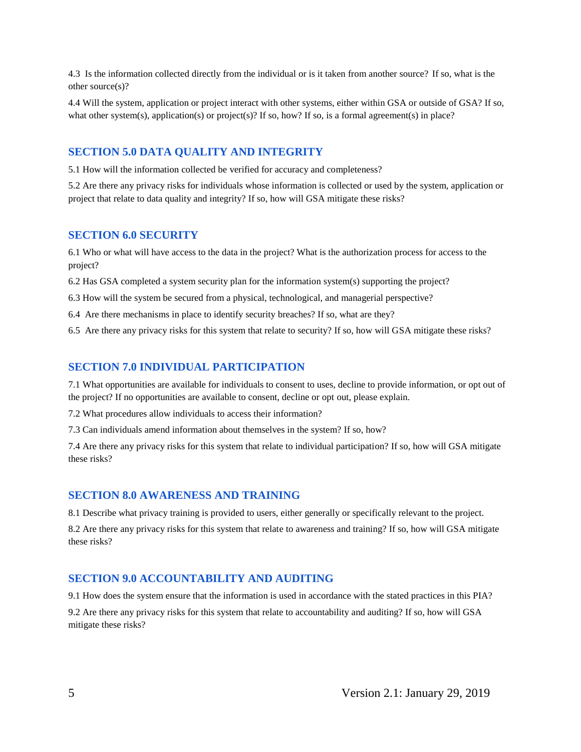4.3 Is the information collected directly from the individual or is it taken from another source? If so, what is the other source(s)?

4.4 Will the system, application or project interact with other systems, either within GSA or outside of GSA? If so, what other system(s), application(s) or project(s)? If so, how? If so, is a formal agreement(s) in place?

#### **SECTION 5.0 DATA QUALITY AND INTEGRITY**

5.1 How will the information collected be verified for accuracy and completeness?

5.2 Are there any privacy risks for individuals whose information is collected or used by the system, application or project that relate to data quality and integrity? If so, how will GSA mitigate these risks?

#### **SECTION 6.0 SECURITY**

6.1 Who or what will have access to the data in the project? What is the authorization process for access to the project?

6.2 Has GSA completed a system security plan for the information system(s) supporting the project?

6.3 How will the system be secured from a physical, technological, and managerial perspective?

6.4 Are there mechanisms in place to identify security breaches? If so, what are they?

6.5 Are there any privacy risks for this system that relate to security? If so, how will GSA mitigate these risks?

#### **SECTION 7.0 INDIVIDUAL PARTICIPATION**

7.1 What opportunities are available for individuals to consent to uses, decline to provide information, or opt out of the project? If no opportunities are available to consent, decline or opt out, please explain.

7.2 What procedures allow individuals to access their information?

7.3 Can individuals amend information about themselves in the system? If so, how?

7.4 Are there any privacy risks for this system that relate to individual participation? If so, how will GSA mitigate these risks?

#### **SECTION 8.0 AWARENESS AND TRAINING**

8.1 Describe what privacy training is provided to users, either generally or specifically relevant to the project.

8.2 Are there any privacy risks for this system that relate to awareness and training? If so, how will GSA mitigate these risks?

#### **SECTION 9.0 ACCOUNTABILITY AND AUDITING**

9.1 How does the system ensure that the information is used in accordance with the stated practices in this PIA? 9.2 Are there any privacy risks for this system that relate to accountability and auditing? If so, how will GSA mitigate these risks?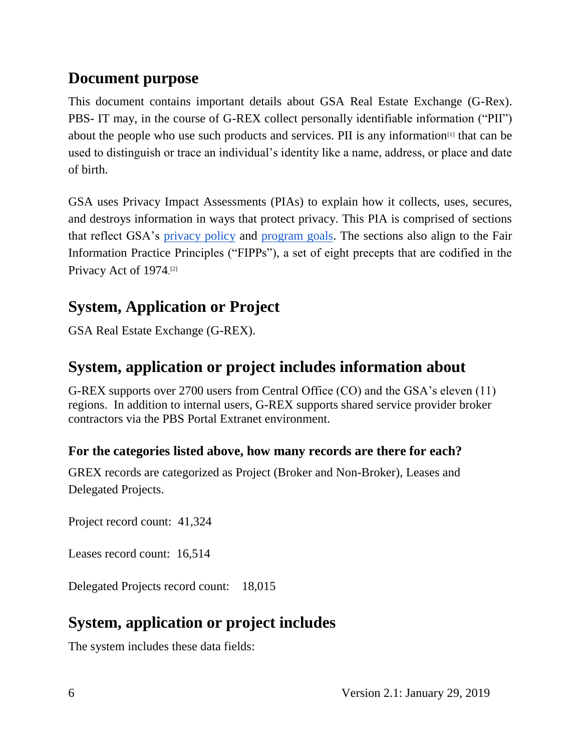## **Document purpose**

This document contains important details about GSA Real Estate Exchange (G-Rex). PBS- IT may, in the course of G-REX collect personally identifiable information ("PII") about the people who use such products and services. PII is any information<sup>[1]</sup> that can be used to distinguish or trace an individual's identity like a name, address, or place and date of birth.

GSA uses Privacy Impact Assessments (PIAs) to explain how it collects, uses, secures, and destroys information in ways that protect privacy. This PIA is comprised of sections that reflect GSA's privacy policy and program goals. The sections also align to the Fair Information Practice Principles ("FIPPs"), a set of eight precepts that are codified in the Privacy Act of 1974.<sup>[2]</sup>

# **System, Application or Project**

GSA Real Estate Exchange (G-REX).

## **System, application or project includes information about**

G-REX supports over 2700 users from Central Office (CO) and the GSA's eleven (11) regions. In addition to internal users, G-REX supports shared service provider broker contractors via the PBS Portal Extranet environment.

## **For the categories listed above, how many records are there for each?**

GREX records are categorized as Project (Broker and Non-Broker), Leases and Delegated Projects.

Project record count: 41,324

Leases record count: 16,514

Delegated Projects record count: 18,015

# **System, application or project includes**

The system includes these data fields: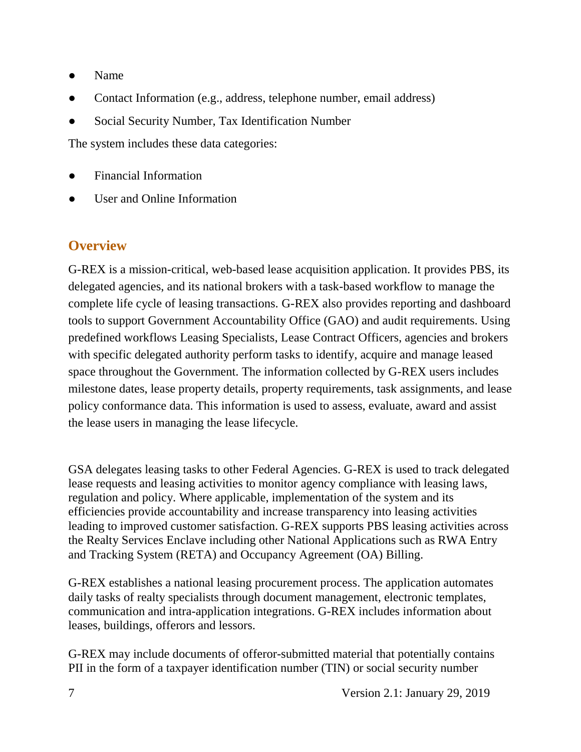- Name
- Contact Information (e.g., address, telephone number, email address)
- Social Security Number, Tax Identification Number

The system includes these data categories:

- Financial Information
- User and Online Information

## **Overview**

G-REX is a mission-critical, web-based lease acquisition application. It provides PBS, its delegated agencies, and its national brokers with a task-based workflow to manage the complete life cycle of leasing transactions. G-REX also provides reporting and dashboard tools to support Government Accountability Office (GAO) and audit requirements. Using predefined workflows Leasing Specialists, Lease Contract Officers, agencies and brokers with specific delegated authority perform tasks to identify, acquire and manage leased space throughout the Government. The information collected by G-REX users includes milestone dates, lease property details, property requirements, task assignments, and lease policy conformance data. This information is used to assess, evaluate, award and assist the lease users in managing the lease lifecycle.

GSA delegates leasing tasks to other Federal Agencies. G-REX is used to track delegated lease requests and leasing activities to monitor agency compliance with leasing laws, regulation and policy. Where applicable, implementation of the system and its efficiencies provide accountability and increase transparency into leasing activities leading to improved customer satisfaction. G-REX supports PBS leasing activities across the Realty Services Enclave including other National Applications such as RWA Entry and Tracking System (RETA) and Occupancy Agreement (OA) Billing.

G-REX establishes a national leasing procurement process. The application automates daily tasks of realty specialists through document management, electronic templates, communication and intra-application integrations. G-REX includes information about leases, buildings, offerors and lessors.

G-REX may include documents of offeror-submitted material that potentially contains PII in the form of a taxpayer identification number (TIN) or social security number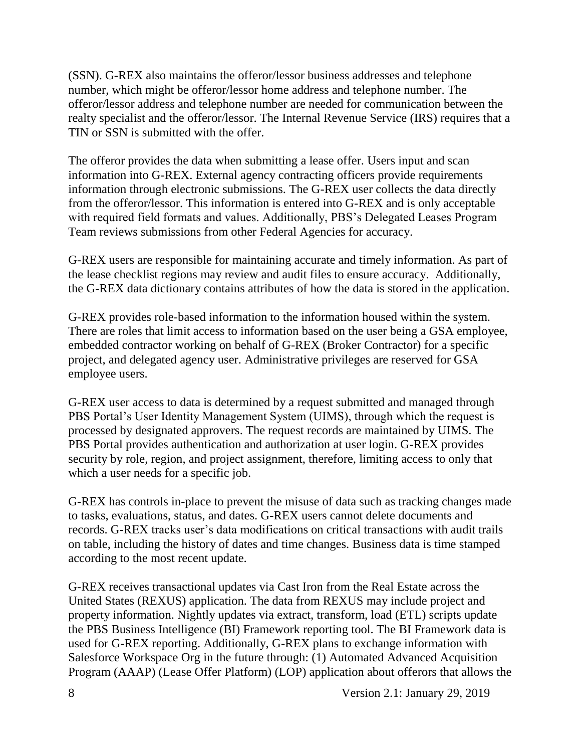(SSN). G-REX also maintains the offeror/lessor business addresses and telephone number, which might be offeror/lessor home address and telephone number. The offeror/lessor address and telephone number are needed for communication between the realty specialist and the offeror/lessor. The Internal Revenue Service (IRS) requires that a TIN or SSN is submitted with the offer.

The offeror provides the data when submitting a lease offer. Users input and scan information into G-REX. External agency contracting officers provide requirements information through electronic submissions. The G-REX user collects the data directly from the offeror/lessor. This information is entered into G-REX and is only acceptable with required field formats and values. Additionally, PBS's Delegated Leases Program Team reviews submissions from other Federal Agencies for accuracy.

G-REX users are responsible for maintaining accurate and timely information. As part of the lease checklist regions may review and audit files to ensure accuracy. Additionally, the G-REX data dictionary contains attributes of how the data is stored in the application.

G-REX provides role-based information to the information housed within the system. There are roles that limit access to information based on the user being a GSA employee, embedded contractor working on behalf of G-REX (Broker Contractor) for a specific project, and delegated agency user. Administrative privileges are reserved for GSA employee users.

G-REX user access to data is determined by a request submitted and managed through PBS Portal's User Identity Management System (UIMS), through which the request is processed by designated approvers. The request records are maintained by UIMS. The PBS Portal provides authentication and authorization at user login. G-REX provides security by role, region, and project assignment, therefore, limiting access to only that which a user needs for a specific job.

G-REX has controls in-place to prevent the misuse of data such as tracking changes made to tasks, evaluations, status, and dates. G-REX users cannot delete documents and records. G-REX tracks user's data modifications on critical transactions with audit trails on table, including the history of dates and time changes. Business data is time stamped according to the most recent update.

G-REX receives transactional updates via Cast Iron from the Real Estate across the United States (REXUS) application. The data from REXUS may include project and property information. Nightly updates via extract, transform, load (ETL) scripts update the PBS Business Intelligence (BI) Framework reporting tool. The BI Framework data is used for G-REX reporting. Additionally, G-REX plans to exchange information with Salesforce Workspace Org in the future through: (1) Automated Advanced Acquisition Program (AAAP) (Lease Offer Platform) (LOP) application about offerors that allows the

8 Version 2.1: January 29, 2019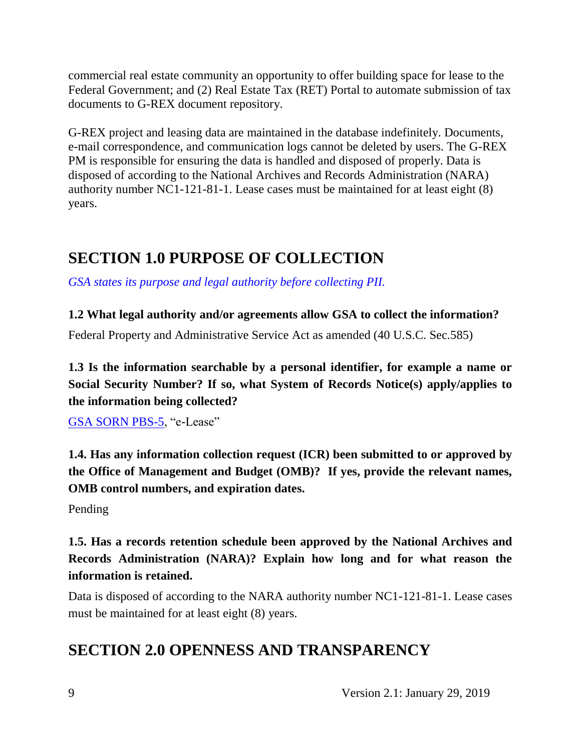commercial real estate community an opportunity to offer building space for lease to the Federal Government; and (2) Real Estate Tax (RET) Portal to automate submission of tax documents to G-REX document repository.

G-REX project and leasing data are maintained in the database indefinitely. Documents, e-mail correspondence, and communication logs cannot be deleted by users. The G-REX PM is responsible for ensuring the data is handled and disposed of properly. Data is disposed of according to the National Archives and Records Administration (NARA) authority number NC1-121-81-1. Lease cases must be maintained for at least eight (8) years.

# **SECTION 1.0 PURPOSE OF COLLECTION**

*GSA states its purpose and legal authority before collecting PII.*

#### **1.2 What legal authority and/or agreements allow GSA to collect the information?**

Federal Property and Administrative Service Act as amended (40 U.S.C. Sec.585)

**1.3 Is the information searchable by a personal identifier, for example a name or Social Security Number? If so, what System of Records Notice(s) apply/applies to the information being collected?**

GSA SORN PBS-5, "e-Lease"

**1.4. Has any information collection request (ICR) been submitted to or approved by the Office of Management and Budget (OMB)? If yes, provide the relevant names, OMB control numbers, and expiration dates.**

Pending

**1.5. Has a records retention schedule been approved by the National Archives and Records Administration (NARA)? Explain how long and for what reason the information is retained.**

Data is disposed of according to the NARA authority number NC1-121-81-1. Lease cases must be maintained for at least eight (8) years.

## **SECTION 2.0 OPENNESS AND TRANSPARENCY**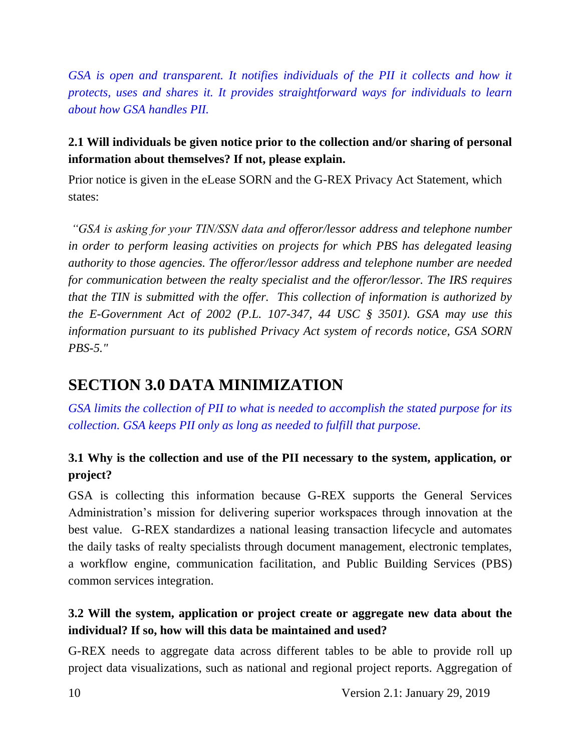*GSA is open and transparent. It notifies individuals of the PII it collects and how it protects, uses and shares it. It provides straightforward ways for individuals to learn about how GSA handles PII.*

### **2.1 Will individuals be given notice prior to the collection and/or sharing of personal information about themselves? If not, please explain.**

Prior notice is given in the eLease SORN and the G-REX Privacy Act Statement, which states:

*"GSA is asking for your TIN/SSN data and offeror/lessor address and telephone number in order to perform leasing activities on projects for which PBS has delegated leasing authority to those agencies. The offeror/lessor address and telephone number are needed for communication between the realty specialist and the offeror/lessor. The IRS requires that the TIN is submitted with the offer. This collection of information is authorized by the E-Government Act of 2002 (P.L. 107-347, 44 USC § 3501). GSA may use this information pursuant to its published Privacy Act system of records notice, GSA SORN PBS-5."*

## **SECTION 3.0 DATA MINIMIZATION**

*GSA limits the collection of PII to what is needed to accomplish the stated purpose for its collection. GSA keeps PII only as long as needed to fulfill that purpose.*

## **3.1 Why is the collection and use of the PII necessary to the system, application, or project?**

GSA is collecting this information because G-REX supports the General Services Administration's mission for delivering superior workspaces through innovation at the best value. G-REX standardizes a national leasing transaction lifecycle and automates the daily tasks of realty specialists through document management, electronic templates, a workflow engine, communication facilitation, and Public Building Services (PBS) common services integration.

#### **3.2 Will the system, application or project create or aggregate new data about the individual? If so, how will this data be maintained and used?**

G-REX needs to aggregate data across different tables to be able to provide roll up project data visualizations, such as national and regional project reports. Aggregation of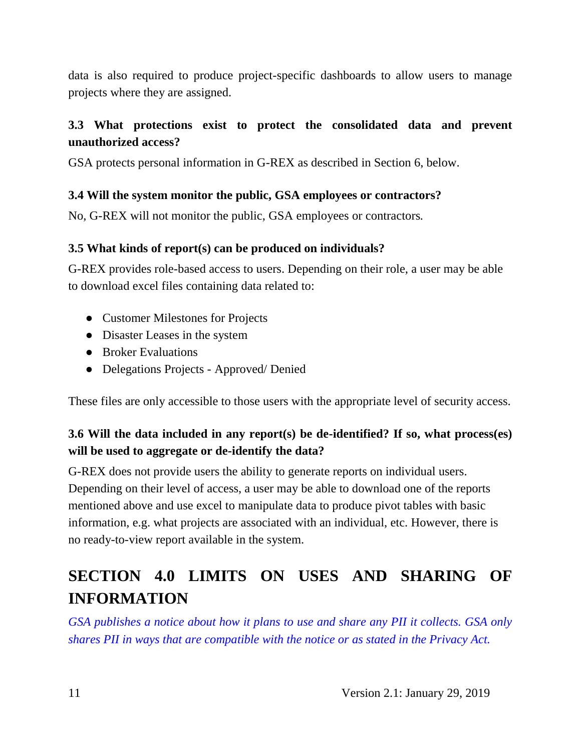data is also required to produce project-specific dashboards to allow users to manage projects where they are assigned.

#### **3.3 What protections exist to protect the consolidated data and prevent unauthorized access?**

GSA protects personal information in G-REX as described in Section 6, below.

#### **3.4 Will the system monitor the public, GSA employees or contractors?**

No, G-REX will not monitor the public, GSA employees or contractors*.*

#### **3.5 What kinds of report(s) can be produced on individuals?**

G-REX provides role-based access to users. Depending on their role, a user may be able to download excel files containing data related to:

- Customer Milestones for Projects
- Disaster Leases in the system
- Broker Evaluations
- Delegations Projects Approved/Denied

These files are only accessible to those users with the appropriate level of security access.

### **3.6 Will the data included in any report(s) be de-identified? If so, what process(es) will be used to aggregate or de-identify the data?**

G-REX does not provide users the ability to generate reports on individual users. Depending on their level of access, a user may be able to download one of the reports mentioned above and use excel to manipulate data to produce pivot tables with basic information, e.g. what projects are associated with an individual, etc. However, there is no ready-to-view report available in the system.

# **SECTION 4.0 LIMITS ON USES AND SHARING OF INFORMATION**

GSA publishes a notice about how it plans to use and share any PII it collects. GSA only *shares PII in ways that are compatible with the notice or as stated in the Privacy Act.*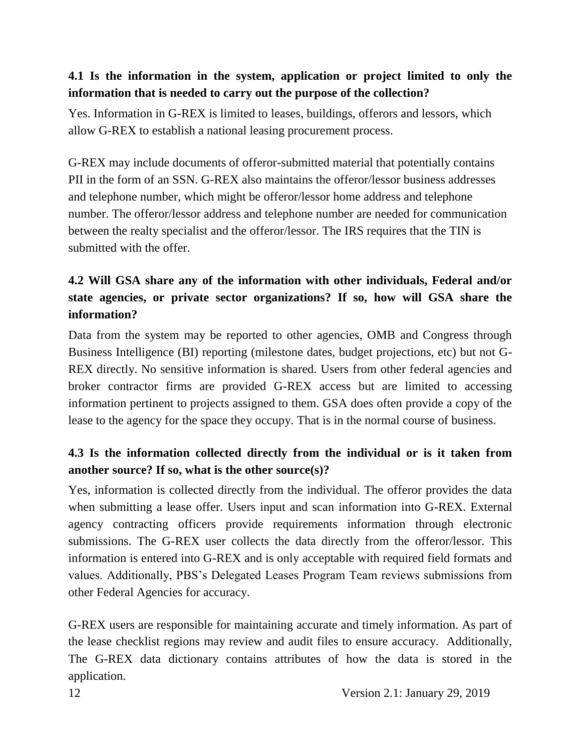#### **4.1 Is the information in the system, application or project limited to only the information that is needed to carry out the purpose of the collection?**

Yes. Information in G-REX is limited to leases, buildings, offerors and lessors, which allow G-REX to establish a national leasing procurement process.

G-REX may include documents of offeror-submitted material that potentially contains PII in the form of an SSN. G-REX also maintains the offeror/lessor business addresses and telephone number, which might be offeror/lessor home address and telephone number. The offeror/lessor address and telephone number are needed for communication between the realty specialist and the offeror/lessor. The IRS requires that the TIN is submitted with the offer.

## **4.2 Will GSA share any of the information with other individuals, Federal and/or state agencies, or private sector organizations? If so, how will GSA share the information?**

Data from the system may be reported to other agencies, OMB and Congress through Business Intelligence (BI) reporting (milestone dates, budget projections, etc) but not G-REX directly. No sensitive information is shared. Users from other federal agencies and broker contractor firms are provided G-REX access but are limited to accessing information pertinent to projects assigned to them. GSA does often provide a copy of the lease to the agency for the space they occupy. That is in the normal course of business.

### **4.3 Is the information collected directly from the individual or is it taken from another source? If so, what is the other source(s)?**

Yes, information is collected directly from the individual. The offeror provides the data when submitting a lease offer. Users input and scan information into G-REX. External agency contracting officers provide requirements information through electronic submissions. The G-REX user collects the data directly from the offeror/lessor. This information is entered into G-REX and is only acceptable with required field formats and values. Additionally, PBS's Delegated Leases Program Team reviews submissions from other Federal Agencies for accuracy.

G-REX users are responsible for maintaining accurate and timely information. As part of the lease checklist regions may review and audit files to ensure accuracy. Additionally, The G-REX data dictionary contains attributes of how the data is stored in the application.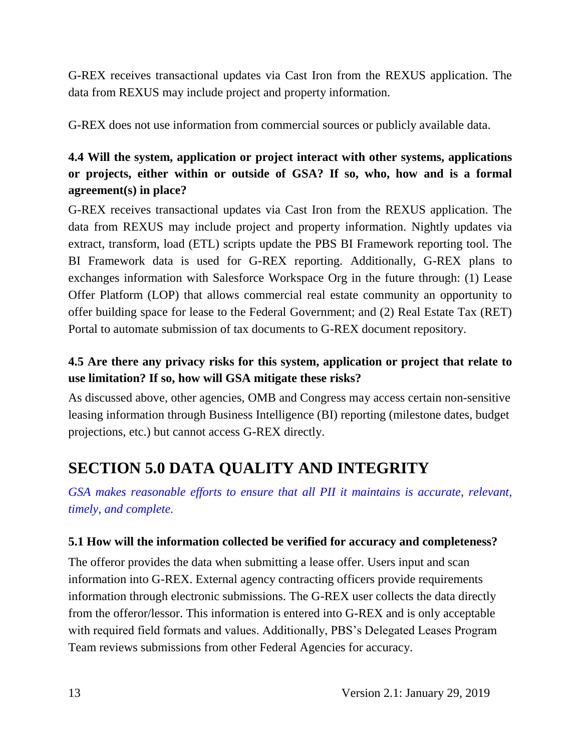G-REX receives transactional updates via Cast Iron from the REXUS application. The data from REXUS may include project and property information.

G-REX does not use information from commercial sources or publicly available data.

## **4.4 Will the system, application or project interact with other systems, applications or projects, either within or outside of GSA? If so, who, how and is a formal agreement(s) in place?**

G-REX receives transactional updates via Cast Iron from the REXUS application. The data from REXUS may include project and property information. Nightly updates via extract, transform, load (ETL) scripts update the PBS BI Framework reporting tool. The BI Framework data is used for G-REX reporting. Additionally, G-REX plans to exchanges information with Salesforce Workspace Org in the future through: (1) Lease Offer Platform (LOP) that allows commercial real estate community an opportunity to offer building space for lease to the Federal Government; and (2) Real Estate Tax (RET) Portal to automate submission of tax documents to G-REX document repository.

## **4.5 Are there any privacy risks for this system, application or project that relate to use limitation? If so, how will GSA mitigate these risks?**

As discussed above, other agencies, OMB and Congress may access certain non-sensitive leasing information through Business Intelligence (BI) reporting (milestone dates, budget projections, etc.) but cannot access G-REX directly.

# **SECTION 5.0 DATA QUALITY AND INTEGRITY**

*GSA makes reasonable efforts to ensure that all PII it maintains is accurate, relevant, timely, and complete.*

#### **5.1 How will the information collected be verified for accuracy and completeness?**

The offeror provides the data when submitting a lease offer. Users input and scan information into G-REX. External agency contracting officers provide requirements information through electronic submissions. The G-REX user collects the data directly from the offeror/lessor. This information is entered into G-REX and is only acceptable with required field formats and values. Additionally, PBS's Delegated Leases Program Team reviews submissions from other Federal Agencies for accuracy.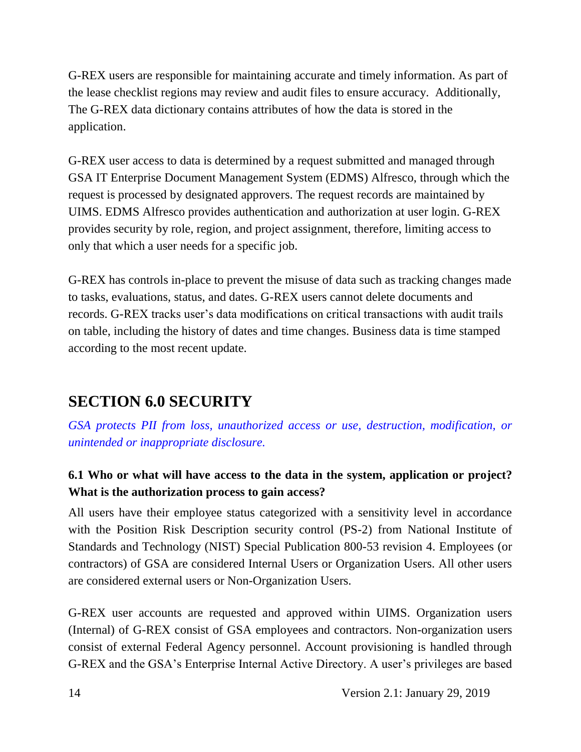G-REX users are responsible for maintaining accurate and timely information. As part of the lease checklist regions may review and audit files to ensure accuracy. Additionally, The G-REX data dictionary contains attributes of how the data is stored in the application.

G-REX user access to data is determined by a request submitted and managed through GSA IT Enterprise Document Management System (EDMS) Alfresco, through which the request is processed by designated approvers. The request records are maintained by UIMS. EDMS Alfresco provides authentication and authorization at user login. G-REX provides security by role, region, and project assignment, therefore, limiting access to only that which a user needs for a specific job.

G-REX has controls in-place to prevent the misuse of data such as tracking changes made to tasks, evaluations, status, and dates. G-REX users cannot delete documents and records. G-REX tracks user's data modifications on critical transactions with audit trails on table, including the history of dates and time changes. Business data is time stamped according to the most recent update.

## **SECTION 6.0 SECURITY**

*GSA protects PII from loss, unauthorized access or use, destruction, modification, or unintended or inappropriate disclosure.*

## **6.1 Who or what will have access to the data in the system, application or project? What is the authorization process to gain access?**

All users have their employee status categorized with a sensitivity level in accordance with the Position Risk Description security control (PS-2) from National Institute of Standards and Technology (NIST) Special Publication 800-53 revision 4. Employees (or contractors) of GSA are considered Internal Users or Organization Users. All other users are considered external users or Non-Organization Users.

G-REX user accounts are requested and approved within UIMS. Organization users (Internal) of G-REX consist of GSA employees and contractors. Non-organization users consist of external Federal Agency personnel. Account provisioning is handled through G-REX and the GSA's Enterprise Internal Active Directory. A user's privileges are based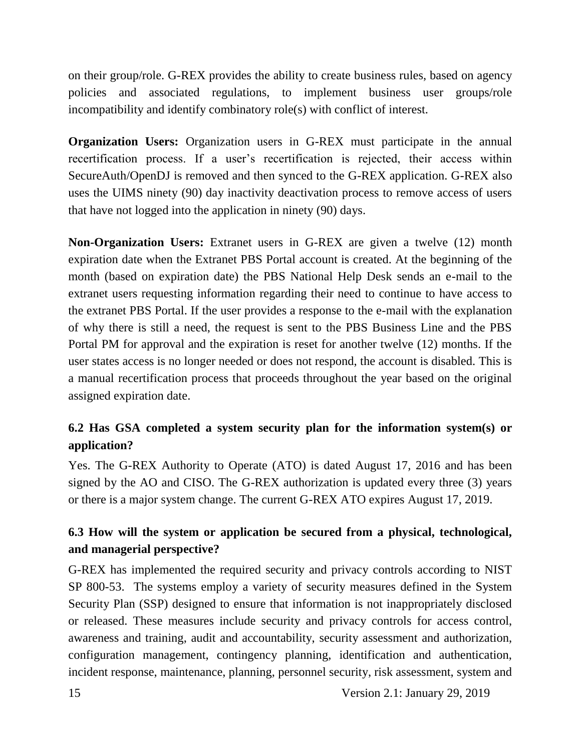on their group/role. G-REX provides the ability to create business rules, based on agency policies and associated regulations, to implement business user groups/role incompatibility and identify combinatory role(s) with conflict of interest.

**Organization Users:** Organization users in G-REX must participate in the annual recertification process. If a user's recertification is rejected, their access within SecureAuth/OpenDJ is removed and then synced to the G-REX application. G-REX also uses the UIMS ninety (90) day inactivity deactivation process to remove access of users that have not logged into the application in ninety (90) days.

**Non-Organization Users:** Extranet users in G-REX are given a twelve (12) month expiration date when the Extranet PBS Portal account is created. At the beginning of the month (based on expiration date) the PBS National Help Desk sends an e-mail to the extranet users requesting information regarding their need to continue to have access to the extranet PBS Portal. If the user provides a response to the e-mail with the explanation of why there is still a need, the request is sent to the PBS Business Line and the PBS Portal PM for approval and the expiration is reset for another twelve (12) months. If the user states access is no longer needed or does not respond, the account is disabled. This is a manual recertification process that proceeds throughout the year based on the original assigned expiration date.

### **6.2 Has GSA completed a system security plan for the information system(s) or application?**

Yes. The G-REX Authority to Operate (ATO) is dated August 17, 2016 and has been signed by the AO and CISO. The G-REX authorization is updated every three (3) years or there is a major system change. The current G-REX ATO expires August 17, 2019.

### **6.3 How will the system or application be secured from a physical, technological, and managerial perspective?**

G-REX has implemented the required security and privacy controls according to NIST SP 800-53. The systems employ a variety of security measures defined in the System Security Plan (SSP) designed to ensure that information is not inappropriately disclosed or released. These measures include security and privacy controls for access control, awareness and training, audit and accountability, security assessment and authorization, configuration management, contingency planning, identification and authentication, incident response, maintenance, planning, personnel security, risk assessment, system and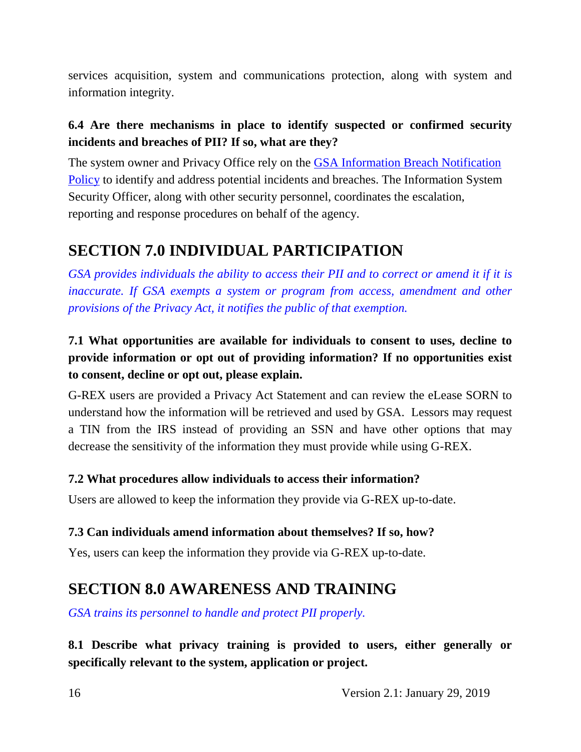services acquisition, system and communications protection, along with system and information integrity.

### **6.4 Are there mechanisms in place to identify suspected or confirmed security incidents and breaches of PII? If so, what are they?**

The system owner and Privacy Office rely on the GSA Information Breach Notification Policy to identify and address potential incidents and breaches. The Information System Security Officer, along with other security personnel, coordinates the escalation, reporting and response procedures on behalf of the agency.

## **SECTION 7.0 INDIVIDUAL PARTICIPATION**

*GSA provides individuals the ability to access their PII and to correct or amend it if it is inaccurate. If GSA exempts a system or program from access, amendment and other provisions of the Privacy Act, it notifies the public of that exemption.*

## **7.1 What opportunities are available for individuals to consent to uses, decline to provide information or opt out of providing information? If no opportunities exist to consent, decline or opt out, please explain.**

G-REX users are provided a Privacy Act Statement and can review the eLease SORN to understand how the information will be retrieved and used by GSA. Lessors may request a TIN from the IRS instead of providing an SSN and have other options that may decrease the sensitivity of the information they must provide while using G-REX.

#### **7.2 What procedures allow individuals to access their information?**

Users are allowed to keep the information they provide via G-REX up-to-date.

#### **7.3 Can individuals amend information about themselves? If so, how?**

Yes, users can keep the information they provide via G-REX up-to-date.

## **SECTION 8.0 AWARENESS AND TRAINING**

*GSA trains its personnel to handle and protect PII properly.*

**8.1 Describe what privacy training is provided to users, either generally or specifically relevant to the system, application or project.**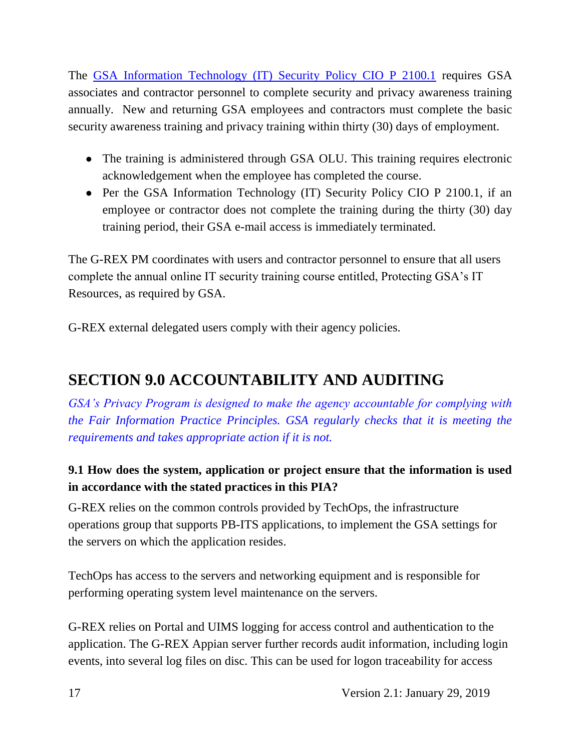The GSA Information Technology (IT) Security Policy CIO P 2100.1 requires GSA associates and contractor personnel to complete security and privacy awareness training annually. New and returning GSA employees and contractors must complete the basic security awareness training and privacy training within thirty (30) days of employment.

- The training is administered through GSA OLU. This training requires electronic acknowledgement when the employee has completed the course.
- Per the GSA Information Technology (IT) Security Policy CIO P 2100.1, if an employee or contractor does not complete the training during the thirty (30) day training period, their GSA e-mail access is immediately terminated.

The G-REX PM coordinates with users and contractor personnel to ensure that all users complete the annual online IT security training course entitled, Protecting GSA's IT Resources, as required by GSA.

G-REX external delegated users comply with their agency policies.

# **SECTION 9.0 ACCOUNTABILITY AND AUDITING**

*GSA's Privacy Program is designed to make the agency accountable for complying with the Fair Information Practice Principles. GSA regularly checks that it is meeting the requirements and takes appropriate action if it is not.*

## **9.1 How does the system, application or project ensure that the information is used in accordance with the stated practices in this PIA?**

G-REX relies on the common controls provided by TechOps, the infrastructure operations group that supports PB-ITS applications, to implement the GSA settings for the servers on which the application resides.

TechOps has access to the servers and networking equipment and is responsible for performing operating system level maintenance on the servers.

G-REX relies on Portal and UIMS logging for access control and authentication to the application. The G-REX Appian server further records audit information, including login events, into several log files on disc. This can be used for logon traceability for access